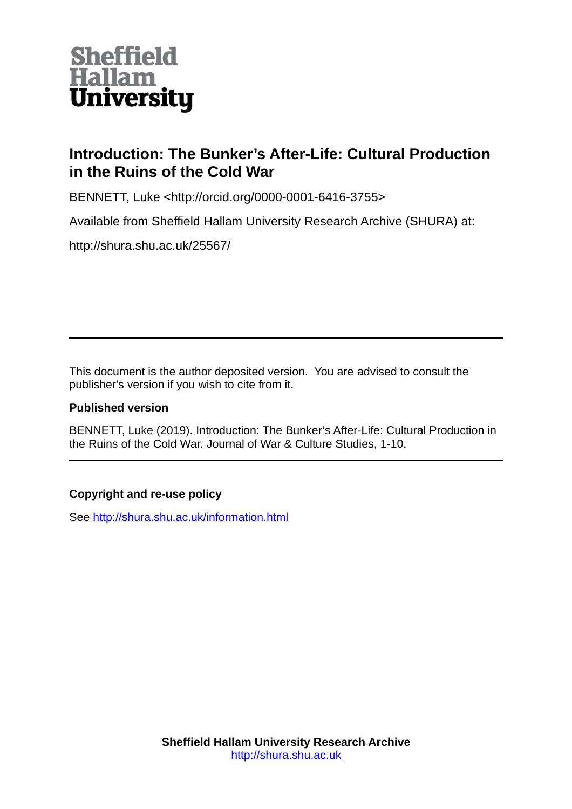

# **Introduction: The Bunker's After-Life: Cultural Production in the Ruins of the Cold War**

BENNETT, Luke <http://orcid.org/0000-0001-6416-3755>

Available from Sheffield Hallam University Research Archive (SHURA) at:

http://shura.shu.ac.uk/25567/

This document is the author deposited version. You are advised to consult the publisher's version if you wish to cite from it.

## **Published version**

BENNETT, Luke (2019). Introduction: The Bunker's After-Life: Cultural Production in the Ruins of the Cold War. Journal of War & Culture Studies, 1-10.

## **Copyright and re-use policy**

See<http://shura.shu.ac.uk/information.html>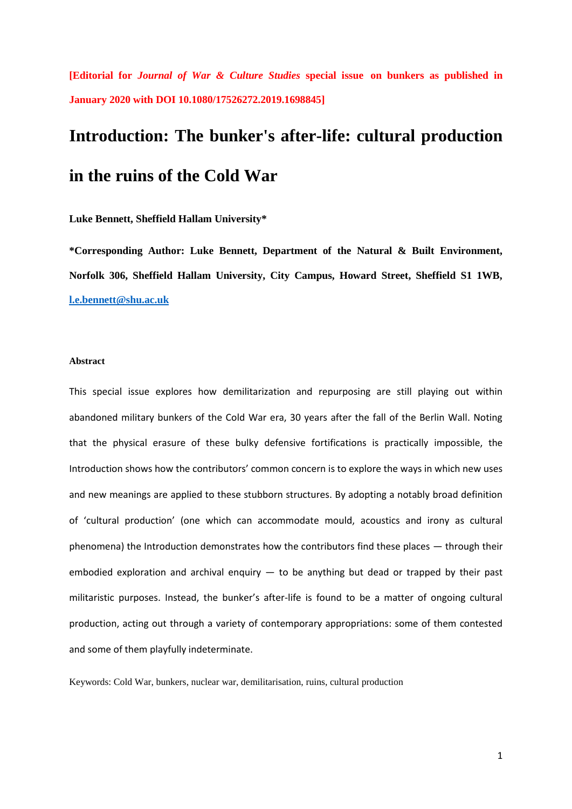**[Editorial for** *Journal of War & Culture Studies* **special issue on bunkers as published in January 2020 with DOI 10.1080/17526272.2019.1698845]**

# **Introduction: The bunker's after-life: cultural production in the ruins of the Cold War**

#### **Luke Bennett, Sheffield Hallam University\***

**\*Corresponding Author: Luke Bennett, Department of the Natural & Built Environment, Norfolk 306, Sheffield Hallam University, City Campus, Howard Street, Sheffield S1 1WB, [l.e.bennett@shu.ac.uk](mailto:l.e.bennett@shu.ac.uk)**

#### **Abstract**

This special issue explores how demilitarization and repurposing are still playing out within abandoned military bunkers of the Cold War era, 30 years after the fall of the Berlin Wall. Noting that the physical erasure of these bulky defensive fortifications is practically impossible, the Introduction shows how the contributors' common concern is to explore the ways in which new uses and new meanings are applied to these stubborn structures. By adopting a notably broad definition of 'cultural production' (one which can accommodate mould, acoustics and irony as cultural phenomena) the Introduction demonstrates how the contributors find these places — through their embodied exploration and archival enquiry — to be anything but dead or trapped by their past militaristic purposes. Instead, the bunker's after-life is found to be a matter of ongoing cultural production, acting out through a variety of contemporary appropriations: some of them contested and some of them playfully indeterminate.

Keywords: Cold War, bunkers, nuclear war, demilitarisation, ruins, cultural production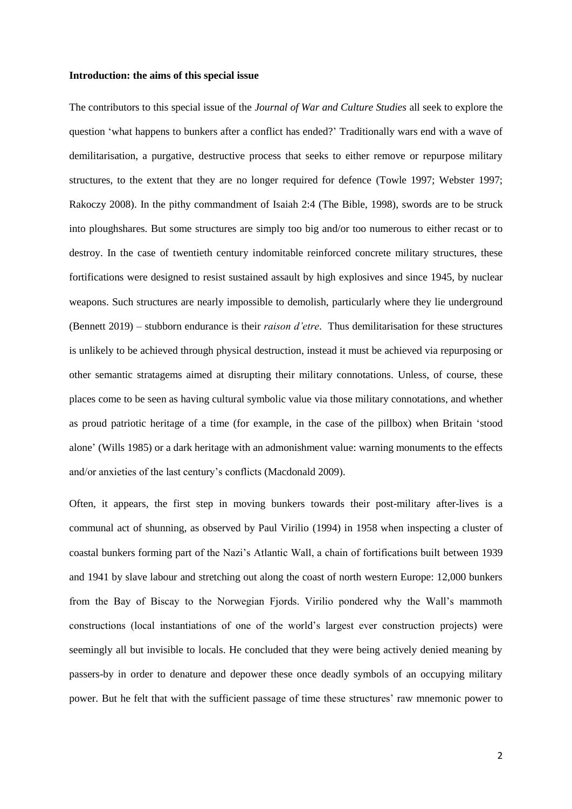#### **Introduction: the aims of this special issue**

The contributors to this special issue of the *Journal of War and Culture Studies* all seek to explore the question 'what happens to bunkers after a conflict has ended?' Traditionally wars end with a wave of demilitarisation, a purgative, destructive process that seeks to either remove or repurpose military structures, to the extent that they are no longer required for defence (Towle 1997; Webster 1997; Rakoczy 2008). In the pithy commandment of Isaiah 2:4 (The Bible, 1998), swords are to be struck into ploughshares. But some structures are simply too big and/or too numerous to either recast or to destroy. In the case of twentieth century indomitable reinforced concrete military structures, these fortifications were designed to resist sustained assault by high explosives and since 1945, by nuclear weapons. Such structures are nearly impossible to demolish, particularly where they lie underground (Bennett 2019) – stubborn endurance is their *raison d'etre*. Thus demilitarisation for these structures is unlikely to be achieved through physical destruction, instead it must be achieved via repurposing or other semantic stratagems aimed at disrupting their military connotations. Unless, of course, these places come to be seen as having cultural symbolic value via those military connotations, and whether as proud patriotic heritage of a time (for example, in the case of the pillbox) when Britain 'stood alone' (Wills 1985) or a dark heritage with an admonishment value: warning monuments to the effects and/or anxieties of the last century's conflicts (Macdonald 2009).

Often, it appears, the first step in moving bunkers towards their post-military after-lives is a communal act of shunning, as observed by Paul Virilio (1994) in 1958 when inspecting a cluster of coastal bunkers forming part of the Nazi's Atlantic Wall, a chain of fortifications built between 1939 and 1941 by slave labour and stretching out along the coast of north western Europe: 12,000 bunkers from the Bay of Biscay to the Norwegian Fjords. Virilio pondered why the Wall's mammoth constructions (local instantiations of one of the world's largest ever construction projects) were seemingly all but invisible to locals. He concluded that they were being actively denied meaning by passers-by in order to denature and depower these once deadly symbols of an occupying military power. But he felt that with the sufficient passage of time these structures' raw mnemonic power to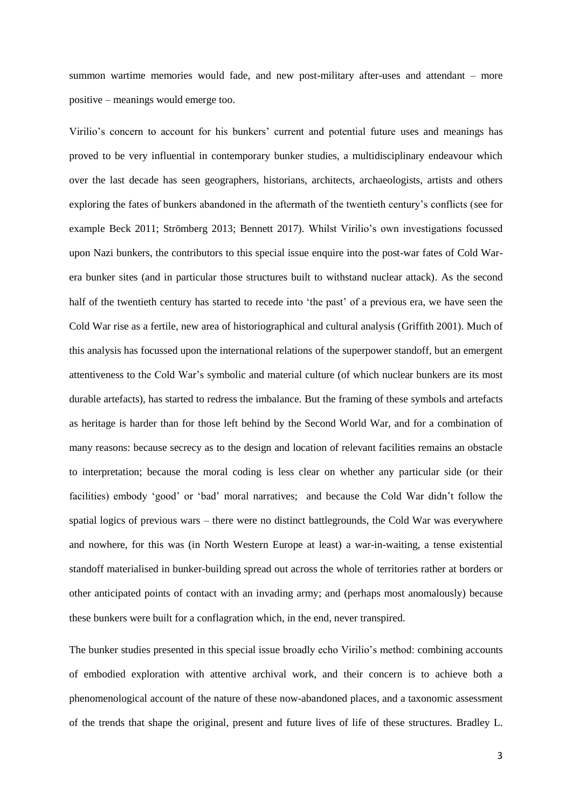summon wartime memories would fade, and new post-military after-uses and attendant – more positive – meanings would emerge too.

Virilio's concern to account for his bunkers' current and potential future uses and meanings has proved to be very influential in contemporary bunker studies, a multidisciplinary endeavour which over the last decade has seen geographers, historians, architects, archaeologists, artists and others exploring the fates of bunkers abandoned in the aftermath of the twentieth century's conflicts (see for example Beck 2011; Strömberg 2013; Bennett 2017). Whilst Virilio's own investigations focussed upon Nazi bunkers, the contributors to this special issue enquire into the post-war fates of Cold Warera bunker sites (and in particular those structures built to withstand nuclear attack). As the second half of the twentieth century has started to recede into 'the past' of a previous era, we have seen the Cold War rise as a fertile, new area of historiographical and cultural analysis (Griffith 2001). Much of this analysis has focussed upon the international relations of the superpower standoff, but an emergent attentiveness to the Cold War's symbolic and material culture (of which nuclear bunkers are its most durable artefacts), has started to redress the imbalance. But the framing of these symbols and artefacts as heritage is harder than for those left behind by the Second World War, and for a combination of many reasons: because secrecy as to the design and location of relevant facilities remains an obstacle to interpretation; because the moral coding is less clear on whether any particular side (or their facilities) embody 'good' or 'bad' moral narratives; and because the Cold War didn't follow the spatial logics of previous wars – there were no distinct battlegrounds, the Cold War was everywhere and nowhere, for this was (in North Western Europe at least) a war-in-waiting, a tense existential standoff materialised in bunker-building spread out across the whole of territories rather at borders or other anticipated points of contact with an invading army; and (perhaps most anomalously) because these bunkers were built for a conflagration which, in the end, never transpired.

The bunker studies presented in this special issue broadly echo Virilio's method: combining accounts of embodied exploration with attentive archival work, and their concern is to achieve both a phenomenological account of the nature of these now-abandoned places, and a taxonomic assessment of the trends that shape the original, present and future lives of life of these structures. Bradley L.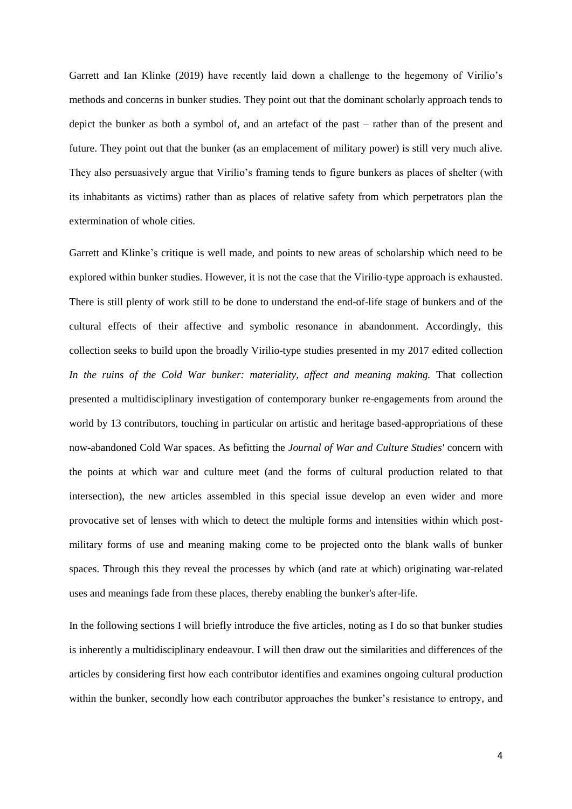Garrett and Ian Klinke (2019) have recently laid down a challenge to the hegemony of Virilio's methods and concerns in bunker studies. They point out that the dominant scholarly approach tends to depict the bunker as both a symbol of, and an artefact of the past – rather than of the present and future. They point out that the bunker (as an emplacement of military power) is still very much alive. They also persuasively argue that Virilio's framing tends to figure bunkers as places of shelter (with its inhabitants as victims) rather than as places of relative safety from which perpetrators plan the extermination of whole cities.

Garrett and Klinke's critique is well made, and points to new areas of scholarship which need to be explored within bunker studies. However, it is not the case that the Virilio-type approach is exhausted. There is still plenty of work still to be done to understand the end-of-life stage of bunkers and of the cultural effects of their affective and symbolic resonance in abandonment. Accordingly, this collection seeks to build upon the broadly Virilio-type studies presented in my 2017 edited collection *In the ruins of the Cold War bunker: materiality, affect and meaning making.* That collection presented a multidisciplinary investigation of contemporary bunker re-engagements from around the world by 13 contributors, touching in particular on artistic and heritage based-appropriations of these now-abandoned Cold War spaces. As befitting the *Journal of War and Culture Studies'* concern with the points at which war and culture meet (and the forms of cultural production related to that intersection), the new articles assembled in this special issue develop an even wider and more provocative set of lenses with which to detect the multiple forms and intensities within which postmilitary forms of use and meaning making come to be projected onto the blank walls of bunker spaces. Through this they reveal the processes by which (and rate at which) originating war-related uses and meanings fade from these places, thereby enabling the bunker's after-life.

In the following sections I will briefly introduce the five articles, noting as I do so that bunker studies is inherently a multidisciplinary endeavour. I will then draw out the similarities and differences of the articles by considering first how each contributor identifies and examines ongoing cultural production within the bunker, secondly how each contributor approaches the bunker's resistance to entropy, and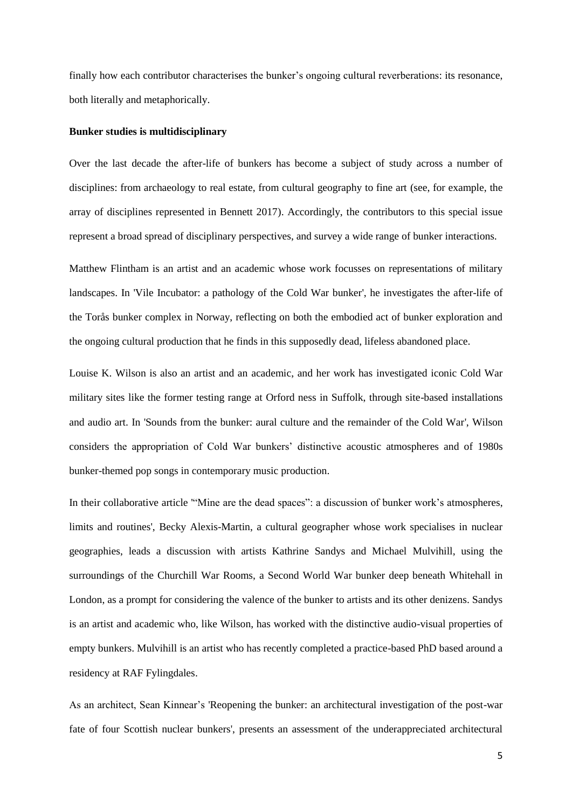finally how each contributor characterises the bunker's ongoing cultural reverberations: its resonance, both literally and metaphorically.

#### **Bunker studies is multidisciplinary**

Over the last decade the after-life of bunkers has become a subject of study across a number of disciplines: from archaeology to real estate, from cultural geography to fine art (see, for example, the array of disciplines represented in Bennett 2017). Accordingly, the contributors to this special issue represent a broad spread of disciplinary perspectives, and survey a wide range of bunker interactions.

Matthew Flintham is an artist and an academic whose work focusses on representations of military landscapes. In 'Vile Incubator: a pathology of the Cold War bunker', he investigates the after-life of the Torås bunker complex in Norway, reflecting on both the embodied act of bunker exploration and the ongoing cultural production that he finds in this supposedly dead, lifeless abandoned place.

Louise K. Wilson is also an artist and an academic, and her work has investigated iconic Cold War military sites like the former testing range at Orford ness in Suffolk, through site-based installations and audio art. In 'Sounds from the bunker: aural culture and the remainder of the Cold War', Wilson considers the appropriation of Cold War bunkers' distinctive acoustic atmospheres and of 1980s bunker-themed pop songs in contemporary music production.

In their collaborative article '"Mine are the dead spaces": a discussion of bunker work's atmospheres, limits and routines', Becky Alexis-Martin, a cultural geographer whose work specialises in nuclear geographies, leads a discussion with artists Kathrine Sandys and Michael Mulvihill, using the surroundings of the Churchill War Rooms, a Second World War bunker deep beneath Whitehall in London, as a prompt for considering the valence of the bunker to artists and its other denizens. Sandys is an artist and academic who, like Wilson, has worked with the distinctive audio-visual properties of empty bunkers. Mulvihill is an artist who has recently completed a practice-based PhD based around a residency at RAF Fylingdales.

As an architect, Sean Kinnear's 'Reopening the bunker: an architectural investigation of the post-war fate of four Scottish nuclear bunkers', presents an assessment of the underappreciated architectural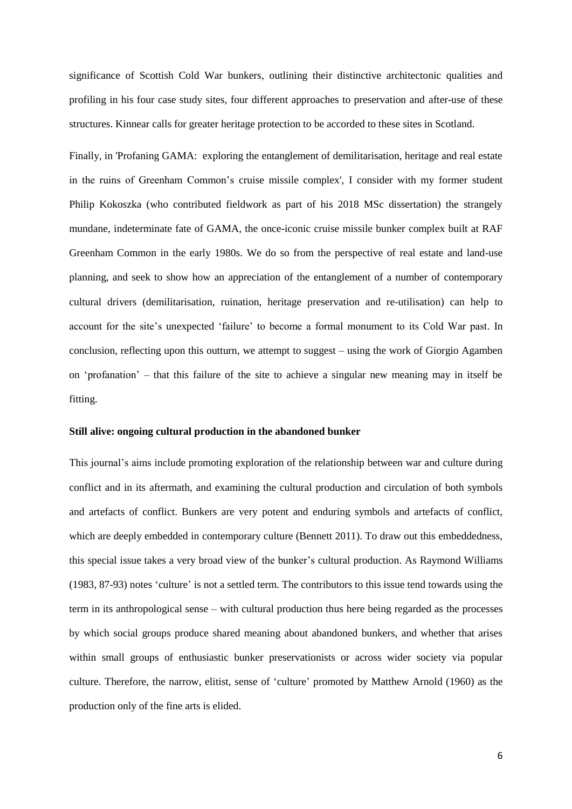significance of Scottish Cold War bunkers, outlining their distinctive architectonic qualities and profiling in his four case study sites, four different approaches to preservation and after-use of these structures. Kinnear calls for greater heritage protection to be accorded to these sites in Scotland.

Finally, in 'Profaning GAMA: exploring the entanglement of demilitarisation, heritage and real estate in the ruins of Greenham Common's cruise missile complex', I consider with my former student Philip Kokoszka (who contributed fieldwork as part of his 2018 MSc dissertation) the strangely mundane, indeterminate fate of GAMA, the once-iconic cruise missile bunker complex built at RAF Greenham Common in the early 1980s. We do so from the perspective of real estate and land-use planning, and seek to show how an appreciation of the entanglement of a number of contemporary cultural drivers (demilitarisation, ruination, heritage preservation and re-utilisation) can help to account for the site's unexpected 'failure' to become a formal monument to its Cold War past. In conclusion, reflecting upon this outturn, we attempt to suggest – using the work of Giorgio Agamben on 'profanation' – that this failure of the site to achieve a singular new meaning may in itself be fitting.

#### **Still alive: ongoing cultural production in the abandoned bunker**

This journal's aims include promoting exploration of the relationship between war and culture during conflict and in its aftermath, and examining the cultural production and circulation of both symbols and artefacts of conflict. Bunkers are very potent and enduring symbols and artefacts of conflict, which are deeply embedded in contemporary culture (Bennett 2011). To draw out this embeddedness, this special issue takes a very broad view of the bunker's cultural production. As Raymond Williams (1983, 87-93) notes 'culture' is not a settled term. The contributors to this issue tend towards using the term in its anthropological sense – with cultural production thus here being regarded as the processes by which social groups produce shared meaning about abandoned bunkers, and whether that arises within small groups of enthusiastic bunker preservationists or across wider society via popular culture. Therefore, the narrow, elitist, sense of 'culture' promoted by Matthew Arnold (1960) as the production only of the fine arts is elided.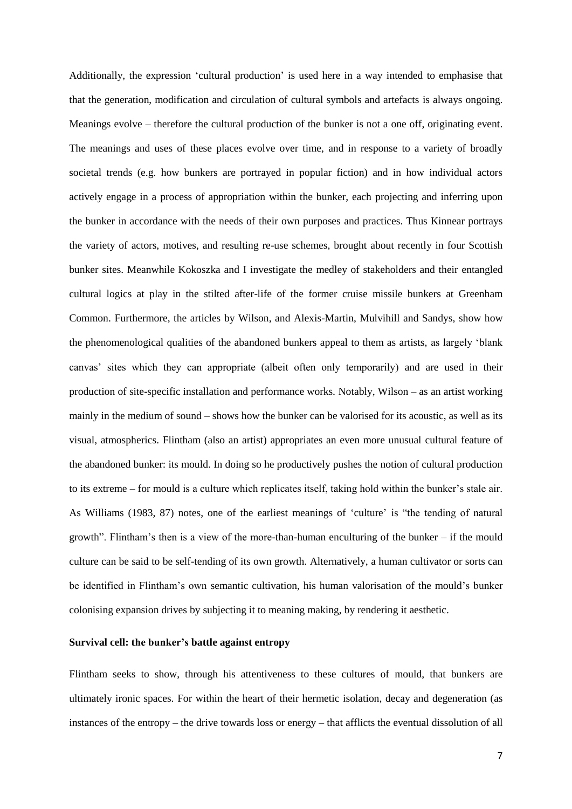Additionally, the expression 'cultural production' is used here in a way intended to emphasise that that the generation, modification and circulation of cultural symbols and artefacts is always ongoing. Meanings evolve – therefore the cultural production of the bunker is not a one off, originating event. The meanings and uses of these places evolve over time, and in response to a variety of broadly societal trends (e.g. how bunkers are portrayed in popular fiction) and in how individual actors actively engage in a process of appropriation within the bunker, each projecting and inferring upon the bunker in accordance with the needs of their own purposes and practices. Thus Kinnear portrays the variety of actors, motives, and resulting re-use schemes, brought about recently in four Scottish bunker sites. Meanwhile Kokoszka and I investigate the medley of stakeholders and their entangled cultural logics at play in the stilted after-life of the former cruise missile bunkers at Greenham Common. Furthermore, the articles by Wilson, and Alexis-Martin, Mulvihill and Sandys, show how the phenomenological qualities of the abandoned bunkers appeal to them as artists, as largely 'blank canvas' sites which they can appropriate (albeit often only temporarily) and are used in their production of site-specific installation and performance works. Notably, Wilson – as an artist working mainly in the medium of sound – shows how the bunker can be valorised for its acoustic, as well as its visual, atmospherics. Flintham (also an artist) appropriates an even more unusual cultural feature of the abandoned bunker: its mould. In doing so he productively pushes the notion of cultural production to its extreme – for mould is a culture which replicates itself, taking hold within the bunker's stale air. As Williams (1983, 87) notes, one of the earliest meanings of 'culture' is "the tending of natural growth". Flintham's then is a view of the more-than-human enculturing of the bunker – if the mould culture can be said to be self-tending of its own growth. Alternatively, a human cultivator or sorts can be identified in Flintham's own semantic cultivation, his human valorisation of the mould's bunker colonising expansion drives by subjecting it to meaning making, by rendering it aesthetic.

#### **Survival cell: the bunker's battle against entropy**

Flintham seeks to show, through his attentiveness to these cultures of mould, that bunkers are ultimately ironic spaces. For within the heart of their hermetic isolation, decay and degeneration (as instances of the entropy – the drive towards loss or energy – that afflicts the eventual dissolution of all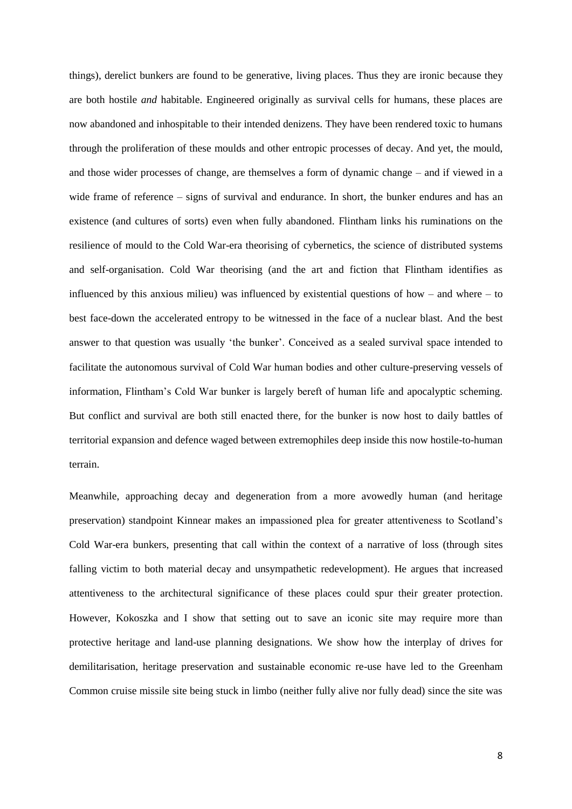things), derelict bunkers are found to be generative, living places. Thus they are ironic because they are both hostile *and* habitable. Engineered originally as survival cells for humans, these places are now abandoned and inhospitable to their intended denizens. They have been rendered toxic to humans through the proliferation of these moulds and other entropic processes of decay. And yet, the mould, and those wider processes of change, are themselves a form of dynamic change – and if viewed in a wide frame of reference – signs of survival and endurance. In short, the bunker endures and has an existence (and cultures of sorts) even when fully abandoned. Flintham links his ruminations on the resilience of mould to the Cold War-era theorising of cybernetics, the science of distributed systems and self-organisation. Cold War theorising (and the art and fiction that Flintham identifies as influenced by this anxious milieu) was influenced by existential questions of how – and where – to best face-down the accelerated entropy to be witnessed in the face of a nuclear blast. And the best answer to that question was usually 'the bunker'. Conceived as a sealed survival space intended to facilitate the autonomous survival of Cold War human bodies and other culture-preserving vessels of information, Flintham's Cold War bunker is largely bereft of human life and apocalyptic scheming. But conflict and survival are both still enacted there, for the bunker is now host to daily battles of territorial expansion and defence waged between extremophiles deep inside this now hostile-to-human terrain.

Meanwhile, approaching decay and degeneration from a more avowedly human (and heritage preservation) standpoint Kinnear makes an impassioned plea for greater attentiveness to Scotland's Cold War-era bunkers, presenting that call within the context of a narrative of loss (through sites falling victim to both material decay and unsympathetic redevelopment). He argues that increased attentiveness to the architectural significance of these places could spur their greater protection. However, Kokoszka and I show that setting out to save an iconic site may require more than protective heritage and land-use planning designations. We show how the interplay of drives for demilitarisation, heritage preservation and sustainable economic re-use have led to the Greenham Common cruise missile site being stuck in limbo (neither fully alive nor fully dead) since the site was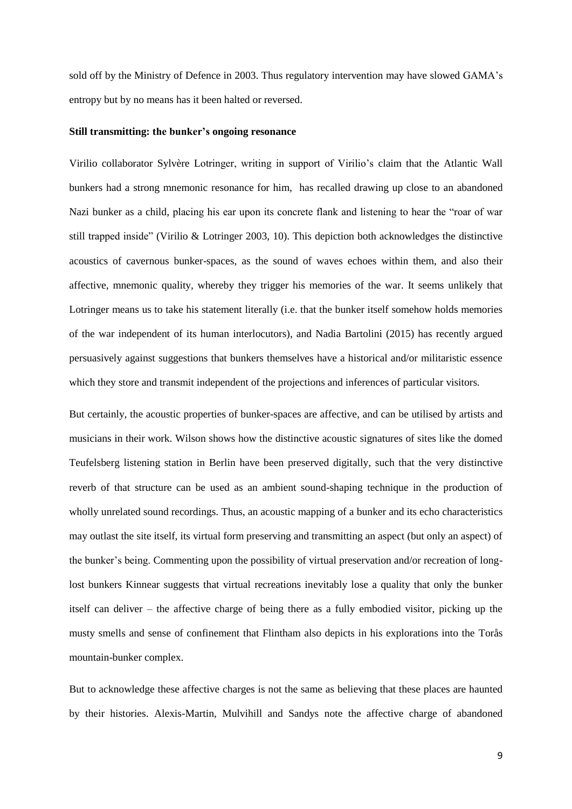sold off by the Ministry of Defence in 2003. Thus regulatory intervention may have slowed GAMA's entropy but by no means has it been halted or reversed.

#### **Still transmitting: the bunker's ongoing resonance**

Virilio collaborator Sylvère Lotringer, writing in support of Virilio's claim that the Atlantic Wall bunkers had a strong mnemonic resonance for him, has recalled drawing up close to an abandoned Nazi bunker as a child, placing his ear upon its concrete flank and listening to hear the "roar of war still trapped inside" (Virilio & Lotringer 2003, 10). This depiction both acknowledges the distinctive acoustics of cavernous bunker-spaces, as the sound of waves echoes within them, and also their affective, mnemonic quality, whereby they trigger his memories of the war. It seems unlikely that Lotringer means us to take his statement literally (i.e. that the bunker itself somehow holds memories of the war independent of its human interlocutors), and Nadia Bartolini (2015) has recently argued persuasively against suggestions that bunkers themselves have a historical and/or militaristic essence which they store and transmit independent of the projections and inferences of particular visitors.

But certainly, the acoustic properties of bunker-spaces are affective, and can be utilised by artists and musicians in their work. Wilson shows how the distinctive acoustic signatures of sites like the domed Teufelsberg listening station in Berlin have been preserved digitally, such that the very distinctive reverb of that structure can be used as an ambient sound-shaping technique in the production of wholly unrelated sound recordings. Thus, an acoustic mapping of a bunker and its echo characteristics may outlast the site itself, its virtual form preserving and transmitting an aspect (but only an aspect) of the bunker's being. Commenting upon the possibility of virtual preservation and/or recreation of longlost bunkers Kinnear suggests that virtual recreations inevitably lose a quality that only the bunker itself can deliver – the affective charge of being there as a fully embodied visitor, picking up the musty smells and sense of confinement that Flintham also depicts in his explorations into the Torås mountain-bunker complex.

But to acknowledge these affective charges is not the same as believing that these places are haunted by their histories. Alexis-Martin, Mulvihill and Sandys note the affective charge of abandoned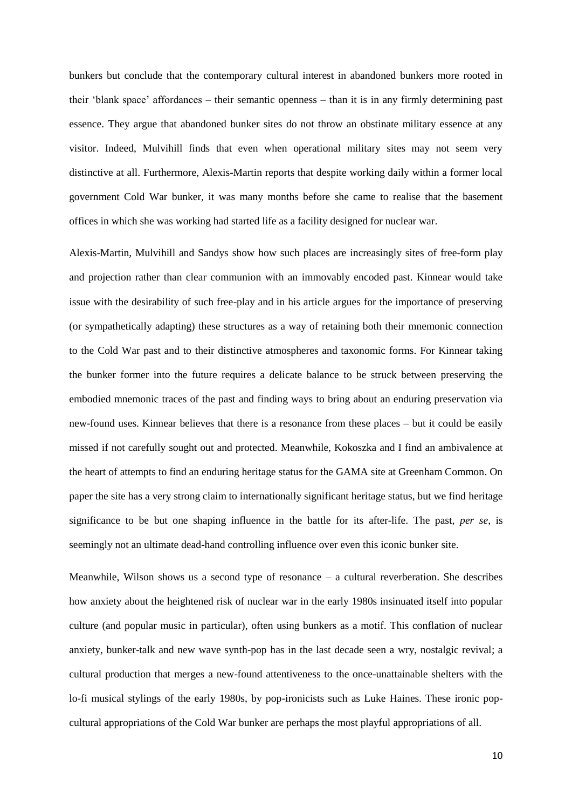bunkers but conclude that the contemporary cultural interest in abandoned bunkers more rooted in their 'blank space' affordances – their semantic openness – than it is in any firmly determining past essence. They argue that abandoned bunker sites do not throw an obstinate military essence at any visitor. Indeed, Mulvihill finds that even when operational military sites may not seem very distinctive at all. Furthermore, Alexis-Martin reports that despite working daily within a former local government Cold War bunker, it was many months before she came to realise that the basement offices in which she was working had started life as a facility designed for nuclear war.

Alexis-Martin, Mulvihill and Sandys show how such places are increasingly sites of free-form play and projection rather than clear communion with an immovably encoded past. Kinnear would take issue with the desirability of such free-play and in his article argues for the importance of preserving (or sympathetically adapting) these structures as a way of retaining both their mnemonic connection to the Cold War past and to their distinctive atmospheres and taxonomic forms. For Kinnear taking the bunker former into the future requires a delicate balance to be struck between preserving the embodied mnemonic traces of the past and finding ways to bring about an enduring preservation via new-found uses. Kinnear believes that there is a resonance from these places – but it could be easily missed if not carefully sought out and protected. Meanwhile, Kokoszka and I find an ambivalence at the heart of attempts to find an enduring heritage status for the GAMA site at Greenham Common. On paper the site has a very strong claim to internationally significant heritage status, but we find heritage significance to be but one shaping influence in the battle for its after-life. The past, *per se*, is seemingly not an ultimate dead-hand controlling influence over even this iconic bunker site.

Meanwhile, Wilson shows us a second type of resonance  $-$  a cultural reverberation. She describes how anxiety about the heightened risk of nuclear war in the early 1980s insinuated itself into popular culture (and popular music in particular), often using bunkers as a motif. This conflation of nuclear anxiety, bunker-talk and new wave synth-pop has in the last decade seen a wry, nostalgic revival; a cultural production that merges a new-found attentiveness to the once-unattainable shelters with the lo-fi musical stylings of the early 1980s, by pop-ironicists such as Luke Haines. These ironic popcultural appropriations of the Cold War bunker are perhaps the most playful appropriations of all.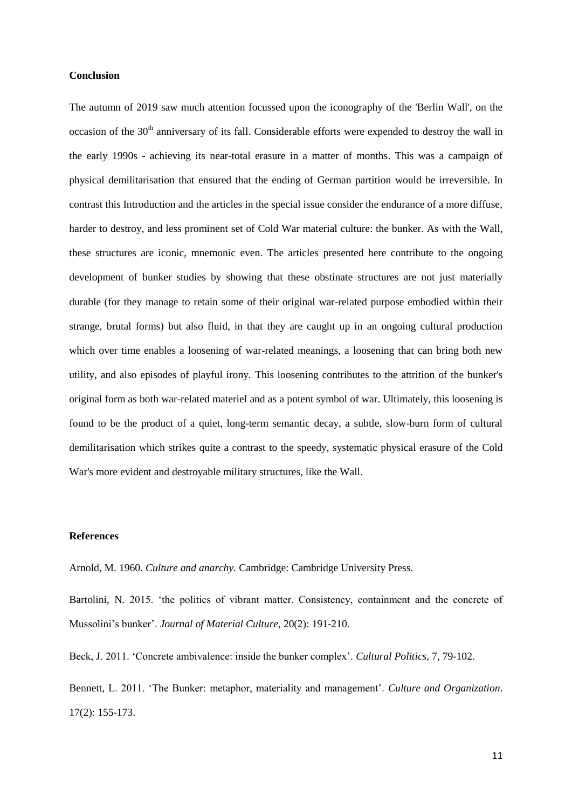#### **Conclusion**

The autumn of 2019 saw much attention focussed upon the iconography of the 'Berlin Wall', on the occasion of the  $30<sup>th</sup>$  anniversary of its fall. Considerable efforts were expended to destroy the wall in the early 1990s - achieving its near-total erasure in a matter of months. This was a campaign of physical demilitarisation that ensured that the ending of German partition would be irreversible. In contrast this Introduction and the articles in the special issue consider the endurance of a more diffuse, harder to destroy, and less prominent set of Cold War material culture: the bunker. As with the Wall, these structures are iconic, mnemonic even. The articles presented here contribute to the ongoing development of bunker studies by showing that these obstinate structures are not just materially durable (for they manage to retain some of their original war-related purpose embodied within their strange, brutal forms) but also fluid, in that they are caught up in an ongoing cultural production which over time enables a loosening of war-related meanings, a loosening that can bring both new utility, and also episodes of playful irony. This loosening contributes to the attrition of the bunker's original form as both war-related materiel and as a potent symbol of war. Ultimately, this loosening is found to be the product of a quiet, long-term semantic decay, a subtle, slow-burn form of cultural demilitarisation which strikes quite a contrast to the speedy, systematic physical erasure of the Cold War's more evident and destroyable military structures, like the Wall.

#### **References**

Arnold, M. 1960. *Culture and anarchy.* Cambridge: Cambridge University Press.

Bartolini, N. 2015. 'the politics of vibrant matter. Consistency, containment and the concrete of Mussolini's bunker'. *Journal of Material Culture*, 20(2): 191-210.

Beck, J. 2011. 'Concrete ambivalence: inside the bunker complex'. *Cultural Politics*, 7, 79-102.

Bennett, L. 2011. 'The Bunker: metaphor, materiality and management'. *Culture and Organization*. 17(2): 155-173.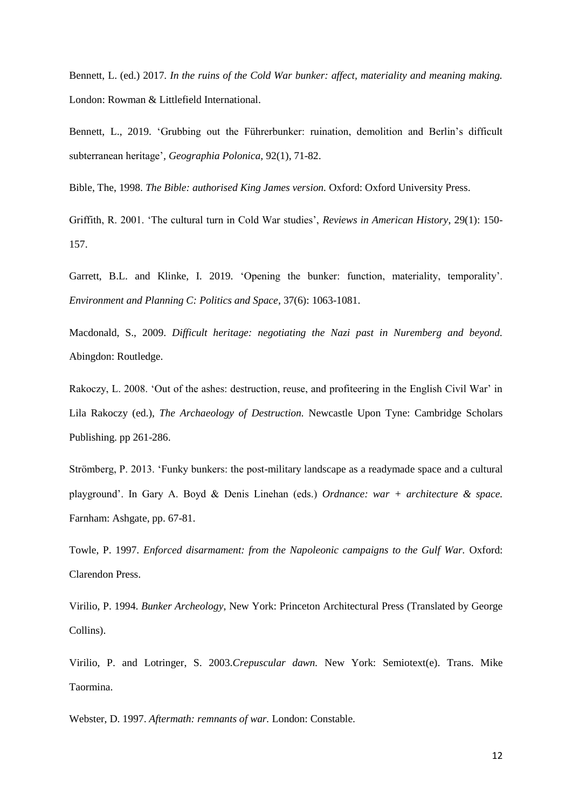Bennett, L. (ed.) 2017. *In the ruins of the Cold War bunker: affect, materiality and meaning making.*  London: Rowman & Littlefield International.

Bennett, L., 2019. 'Grubbing out the Führerbunker: ruination, demolition and Berlin's difficult subterranean heritage'*, Geographia Polonica,* 92(1), 71-82.

Bible, The, 1998. *The Bible: authorised King James version.* Oxford: Oxford University Press.

Griffith, R. 2001. 'The cultural turn in Cold War studies', *Reviews in American History*, 29(1): 150- 157.

Garrett, B.L. and Klinke, I. 2019. 'Opening the bunker: function, materiality, temporality'. *Environment and Planning C: Politics and Space*, 37(6): 1063-1081.

Macdonald, S., 2009. *Difficult heritage: negotiating the Nazi past in Nuremberg and beyond.*  Abingdon: Routledge.

Rakoczy, L. 2008. 'Out of the ashes: destruction, reuse, and profiteering in the English Civil War' in Lila Rakoczy (ed.), *The Archaeology of Destruction.* Newcastle Upon Tyne: Cambridge Scholars Publishing. pp 261-286.

Strömberg, P. 2013. 'Funky bunkers: the post-military landscape as a readymade space and a cultural playground'. In Gary A. Boyd & Denis Linehan (eds.) *Ordnance: war + architecture & space.*  Farnham: Ashgate, pp. 67-81.

Towle, P. 1997. *Enforced disarmament: from the Napoleonic campaigns to the Gulf War.* Oxford: Clarendon Press.

Virilio, P. 1994. *Bunker Archeology*, New York: Princeton Architectural Press (Translated by George Collins).

Virilio, P. and Lotringer, S. 2003.*Crepuscular dawn.* New York: Semiotext(e). Trans. Mike Taormina.

Webster, D. 1997. *Aftermath: remnants of war.* London: Constable.